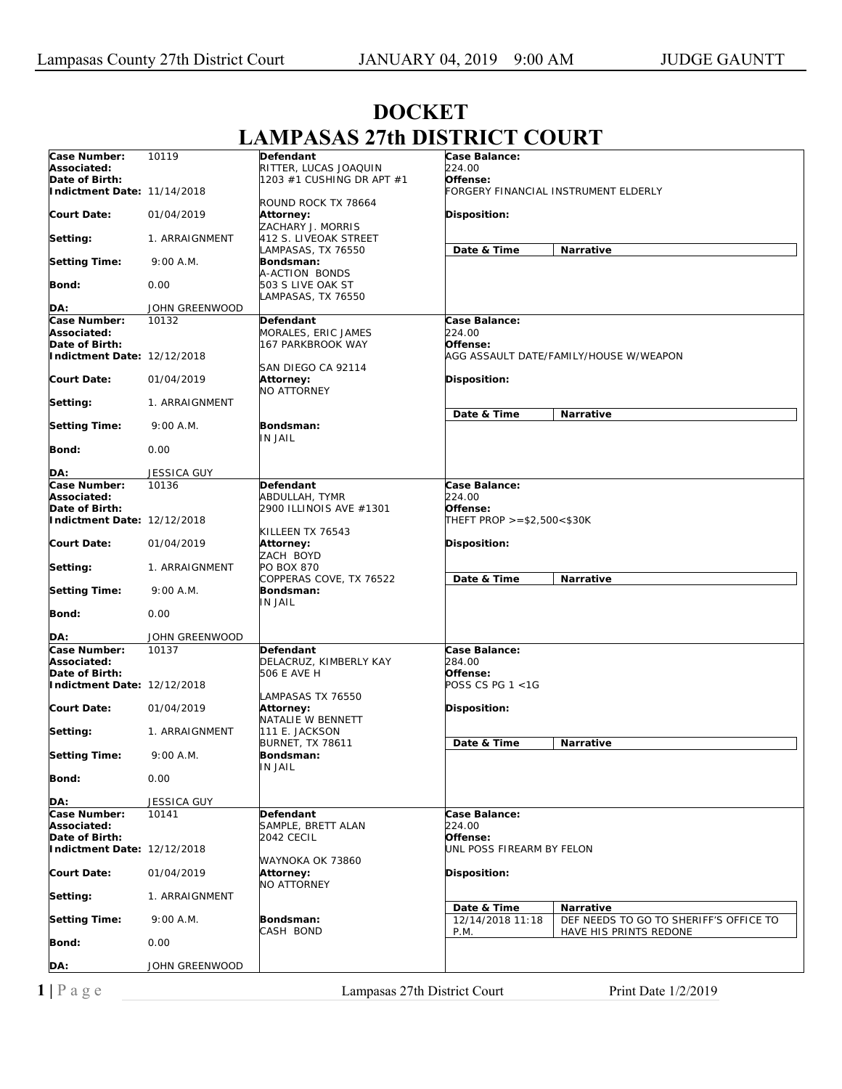| Case Number:                                  | 10119              | Defendant                            | Case Balance:              |                                        |  |
|-----------------------------------------------|--------------------|--------------------------------------|----------------------------|----------------------------------------|--|
| Associated:                                   |                    | RITTER, LUCAS JOAQUIN                | 224.00                     |                                        |  |
| Date of Birth:                                |                    | 1203 #1 CUSHING DR APT #1            | Offense:                   |                                        |  |
| Indictment Date: 11/14/2018                   |                    |                                      |                            | FORGERY FINANCIAL INSTRUMENT ELDERLY   |  |
|                                               |                    | ROUND ROCK TX 78664                  |                            |                                        |  |
| <b>Court Date:</b>                            | 01/04/2019         | Attorney:                            | <b>Disposition:</b>        |                                        |  |
|                                               |                    | ZACHARY J. MORRIS                    |                            |                                        |  |
| Setting:                                      | 1. ARRAIGNMENT     | 412 S. LIVEOAK STREET                |                            |                                        |  |
|                                               |                    | LAMPASAS, TX 76550                   | Date & Time                | Narrative                              |  |
| <b>Setting Time:</b>                          | 9:00 A.M.          | Bondsman:                            |                            |                                        |  |
|                                               |                    | A-ACTION BONDS                       |                            |                                        |  |
| Bond:                                         | 0.00               | 503 S LIVE OAK ST                    |                            |                                        |  |
| DA:                                           | JOHN GREENWOOD     | LAMPASAS, TX 76550                   |                            |                                        |  |
| Case Number:                                  | 10132              | Defendant                            | Case Balance:              |                                        |  |
| Associated:                                   |                    | MORALES, ERIC JAMES                  | 224.00                     |                                        |  |
| Date of Birth:                                |                    | 167 PARKBROOK WAY                    | Offense:                   |                                        |  |
| Indictment Date: 12/12/2018                   |                    |                                      |                            | AGG ASSAULT DATE/FAMILY/HOUSE W/WEAPON |  |
|                                               |                    | SAN DIEGO CA 92114                   |                            |                                        |  |
| <b>Court Date:</b>                            | 01/04/2019         | <b>Attorney:</b>                     | <b>Disposition:</b>        |                                        |  |
|                                               |                    | NO ATTORNEY                          |                            |                                        |  |
| Setting:                                      | 1. ARRAIGNMENT     |                                      |                            |                                        |  |
|                                               |                    |                                      | Date & Time                | Narrative                              |  |
| <b>Setting Time:</b>                          | 9:00 A.M.          | Bondsman:                            |                            |                                        |  |
|                                               |                    | <b>IN JAIL</b>                       |                            |                                        |  |
| Bond:                                         | 0.00               |                                      |                            |                                        |  |
|                                               |                    |                                      |                            |                                        |  |
| DA:                                           | <b>JESSICA GUY</b> |                                      |                            |                                        |  |
| Case Number:                                  | 10136              | Defendant                            | Case Balance:              |                                        |  |
| Associated:                                   |                    | ABDULLAH, TYMR                       | 224.00                     |                                        |  |
| Date of Birth:                                |                    | 2900 ILLINOIS AVE #1301              | Offense:                   |                                        |  |
| Indictment Date: 12/12/2018                   |                    |                                      | THEFT PROP >=\$2,500<\$30K |                                        |  |
| <b>Court Date:</b>                            | 01/04/2019         | KILLEEN TX 76543<br><b>Attorney:</b> | <b>Disposition:</b>        |                                        |  |
|                                               |                    | ZACH BOYD                            |                            |                                        |  |
| Setting:                                      | 1. ARRAIGNMENT     | PO BOX 870                           |                            |                                        |  |
|                                               |                    | COPPERAS COVE, TX 76522              | Date & Time                | Narrative                              |  |
| <b>Setting Time:</b>                          | 9:00 A.M.          | Bondsman:                            |                            |                                        |  |
|                                               |                    | IN JAIL                              |                            |                                        |  |
| Bond:                                         | 0.00               |                                      |                            |                                        |  |
|                                               |                    |                                      |                            |                                        |  |
| DA:                                           | JOHN GREENWOOD     |                                      |                            |                                        |  |
| Case Number:                                  | 10137              | Defendant                            | Case Balance:              |                                        |  |
| Associated:                                   |                    | DELACRUZ, KIMBERLY KAY               | 284.00                     |                                        |  |
| Date of Birth:<br>Indictment Date: 12/12/2018 |                    | 506 E AVE H                          | Offense:                   |                                        |  |
|                                               |                    |                                      | POSS CS PG 1 <1G           |                                        |  |
| <b>Court Date:</b>                            | 01/04/2019         | LAMPASAS TX 76550<br>Attorney:       | <b>Disposition:</b>        |                                        |  |
|                                               |                    | NATALIE W BENNETT                    |                            |                                        |  |
| Setting:                                      | 1. ARRAIGNMENT     | 111 E. JACKSON                       |                            |                                        |  |
|                                               |                    | <b>BURNET, TX 78611</b>              | Date & Time                | Narrative                              |  |
| <b>Setting Time:</b>                          | 9:00 A.M.          | Bondsman:                            |                            |                                        |  |
|                                               |                    | IN JAIL                              |                            |                                        |  |
| Bond:                                         | 0.00               |                                      |                            |                                        |  |
|                                               |                    |                                      |                            |                                        |  |
| DA:                                           | <b>JESSICA GUY</b> |                                      |                            |                                        |  |
| Case Number:                                  | 10141              | Defendant                            | Case Balance:              |                                        |  |
| Associated:                                   |                    | SAMPLE, BRETT ALAN                   | 224.00                     |                                        |  |
| Date of Birth:                                |                    | 2042 CECIL                           | Offense:                   |                                        |  |
| Indictment Date: 12/12/2018                   |                    |                                      | UNL POSS FIREARM BY FELON  |                                        |  |
| Court Date:                                   |                    | WAYNOKA OK 73860                     |                            |                                        |  |
|                                               | 01/04/2019         | Attorney:<br>NO ATTORNEY             | Disposition:               |                                        |  |
| Setting:                                      | 1. ARRAIGNMENT     |                                      |                            |                                        |  |
|                                               |                    |                                      | Date & Time                | Narrative                              |  |
| Setting Time:                                 | 9:00 A.M.          | Bondsman:                            | 12/14/2018 11:18           | DEF NEEDS TO GO TO SHERIFF'S OFFICE TO |  |
|                                               |                    | CASH BOND                            | P.M.                       | HAVE HIS PRINTS REDONE                 |  |
| Bond:                                         | 0.00               |                                      |                            |                                        |  |
|                                               |                    |                                      |                            |                                        |  |
| DA:                                           | JOHN GREENWOOD     |                                      |                            |                                        |  |
|                                               |                    |                                      |                            |                                        |  |

## **DOCKET LAMPASAS 27th DISTRICT COURT**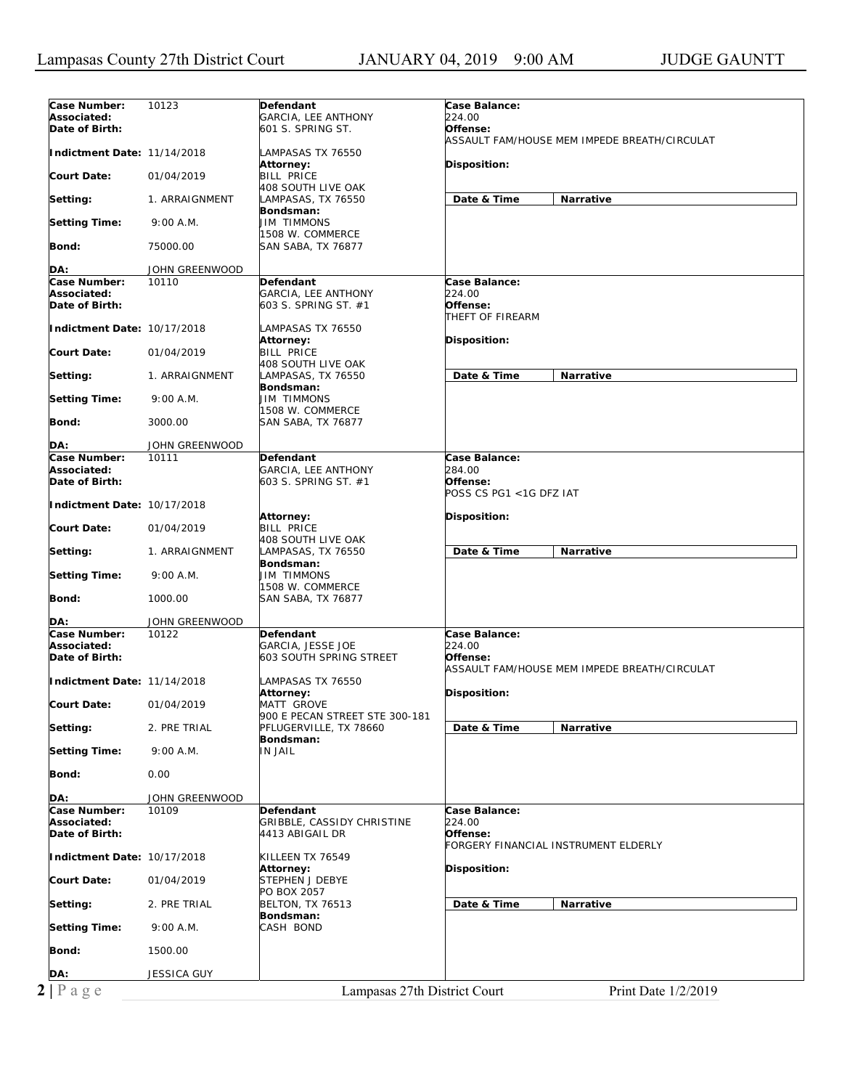| Case Number:                   | 10123          | Defendant                      | Case Balance:                                |
|--------------------------------|----------------|--------------------------------|----------------------------------------------|
| Associated:                    |                |                                | 224.00                                       |
|                                |                | GARCIA, LEE ANTHONY            |                                              |
| Date of Birth:                 |                | 601 S. SPRING ST.              | Offense:                                     |
|                                |                |                                | ASSAULT FAM/HOUSE MEM IMPEDE BREATH/CIRCULAT |
|                                |                |                                |                                              |
| Indictment Date: 11/14/2018    |                | LAMPASAS TX 76550              |                                              |
|                                |                | Attorney:                      | Disposition:                                 |
|                                |                |                                |                                              |
| <b>Court Date:</b>             | 01/04/2019     | <b>BILL PRICE</b>              |                                              |
|                                |                | 408 SOUTH LIVE OAK             |                                              |
|                                |                |                                |                                              |
| Setting:                       | 1. ARRAIGNMENT | LAMPASAS, TX 76550             | Date & Time<br>Narrative                     |
|                                |                | Bondsman:                      |                                              |
|                                |                |                                |                                              |
| <b>Setting Time:</b>           | 9:00 A.M.      | <b>JIM TIMMONS</b>             |                                              |
|                                |                | 1508 W. COMMERCE               |                                              |
|                                |                |                                |                                              |
| Bond:                          | 75000.00       | SAN SABA, TX 76877             |                                              |
|                                |                |                                |                                              |
|                                |                |                                |                                              |
| DA:                            | JOHN GREENWOOD |                                |                                              |
| Case Number:                   | 10110          | Defendant                      | Case Balance:                                |
| Associated:                    |                | GARCIA, LEE ANTHONY            | 224.00                                       |
|                                |                |                                |                                              |
| Date of Birth:                 |                | 603 S. SPRING ST. #1           | Offense:                                     |
|                                |                |                                | THEFT OF FIREARM                             |
|                                |                |                                |                                              |
| Indictment Date: 10/17/2018    |                | LAMPASAS TX 76550              |                                              |
|                                |                | Attorney:                      | Disposition:                                 |
|                                |                |                                |                                              |
| <b>Court Date:</b>             | 01/04/2019     | <b>BILL PRICE</b>              |                                              |
|                                |                | 408 SOUTH LIVE OAK             |                                              |
|                                |                |                                |                                              |
| Setting:                       | 1. ARRAIGNMENT | LAMPASAS, TX 76550             | Date & Time<br>Narrative                     |
|                                |                | Bondsman:                      |                                              |
|                                |                |                                |                                              |
| <b>Setting Time:</b>           | 9:00 A.M.      | JIM TIMMONS                    |                                              |
|                                |                | 1508 W. COMMERCE               |                                              |
|                                |                |                                |                                              |
| Bond:                          | 3000.00        | SAN SABA, TX 76877             |                                              |
|                                |                |                                |                                              |
| DA:                            | JOHN GREENWOOD |                                |                                              |
|                                |                |                                |                                              |
| Case Number:                   | 10111          | Defendant                      | Case Balance:                                |
| Associated:                    |                | <b>GARCIA, LEE ANTHONY</b>     | 284.00                                       |
|                                |                |                                |                                              |
| Date of Birth:                 |                | 603 S. SPRING ST. #1           | Offense:                                     |
|                                |                |                                | POSS CS PG1 <1G DFZ IAT                      |
|                                |                |                                |                                              |
| Indictment Date: 10/17/2018    |                |                                |                                              |
|                                |                | <b>Attorney:</b>               | Disposition:                                 |
|                                |                |                                |                                              |
| <b>Court Date:</b>             | 01/04/2019     | <b>BILL PRICE</b>              |                                              |
|                                |                | 408 SOUTH LIVE OAK             |                                              |
|                                |                |                                |                                              |
| Setting:                       | 1. ARRAIGNMENT | LAMPASAS, TX 76550             | Date & Time<br>Narrative                     |
|                                |                | Bondsman:                      |                                              |
|                                |                |                                |                                              |
| <b>Setting Time:</b>           | 9:00 A.M.      | <b>JIM TIMMONS</b>             |                                              |
|                                |                | 1508 W. COMMERCE               |                                              |
| Bond:                          | 1000.00        |                                |                                              |
|                                |                | SAN SABA, TX 76877             |                                              |
|                                |                |                                |                                              |
| DA:                            | JOHN GREENWOOD |                                |                                              |
|                                |                |                                |                                              |
| Case Number:                   | 10122          | Defendant                      | Case Balance:                                |
| Associated:                    |                | GARCIA, JESSE JOE              | 224.00                                       |
|                                |                |                                |                                              |
| Date of Birth:                 |                | 603 SOUTH SPRING STREET        | Offense:                                     |
|                                |                |                                | ASSAULT FAM/HOUSE MEM IMPEDE BREATH/CIRCULAT |
|                                |                |                                |                                              |
| Indictment Date: 11/14/2018    |                | LAMPASAS TX 76550              |                                              |
|                                |                |                                |                                              |
|                                |                |                                |                                              |
| <b>Court Date:</b>             |                | Attorney:                      | Disposition:                                 |
|                                | 01/04/2019     | MATT GROVE                     |                                              |
|                                |                |                                |                                              |
|                                |                | 900 E PECAN STREET STE 300-181 |                                              |
| Setting:                       | 2. PRE TRIAL   | PFLUGERVILLE, TX 78660         | Date & Time<br>Narrative                     |
|                                |                | Bondsman:                      |                                              |
|                                |                |                                |                                              |
|                                | 9:00 A.M.      | <b>IN JAIL</b>                 |                                              |
| <b>Setting Time:</b>           |                |                                |                                              |
|                                |                |                                |                                              |
| Bond:                          | 0.00           |                                |                                              |
|                                |                |                                |                                              |
|                                |                |                                |                                              |
| DA:                            | JOHN GREENWOOD |                                |                                              |
| Case Number:                   | 10109          | Defendant                      | Case Balance:                                |
|                                |                |                                |                                              |
| Associated:                    |                | GRIBBLE, CASSIDY CHRISTINE     | 224.00                                       |
| Date of Birth:                 |                | 4413 ABIGAIL DR                | Offense:                                     |
|                                |                |                                |                                              |
|                                |                |                                | FORGERY FINANCIAL INSTRUMENT ELDERLY         |
| Indictment Date: 10/17/2018    |                | KILLEEN TX 76549               |                                              |
|                                |                |                                |                                              |
|                                |                | Attorney:                      | Disposition:                                 |
|                                | 01/04/2019     | STEPHEN J DEBYE                |                                              |
|                                |                |                                |                                              |
|                                |                | PO BOX 2057                    |                                              |
|                                | 2. PRE TRIAL   | <b>BELTON, TX 76513</b>        | Date & Time<br>Narrative                     |
| <b>Court Date:</b><br>Setting: |                |                                |                                              |
|                                |                | Bondsman:                      |                                              |
| <b>Setting Time:</b>           | 9:00 A.M.      | CASH BOND                      |                                              |
|                                |                |                                |                                              |
|                                |                |                                |                                              |
|                                | 1500.00        |                                |                                              |
| Bond:                          |                |                                |                                              |
|                                |                |                                |                                              |
| DA:                            | JESSICA GUY    |                                |                                              |
| $2 P \text{ a } g e$           |                | Lampasas 27th District Court   | Print Date 1/2/2019                          |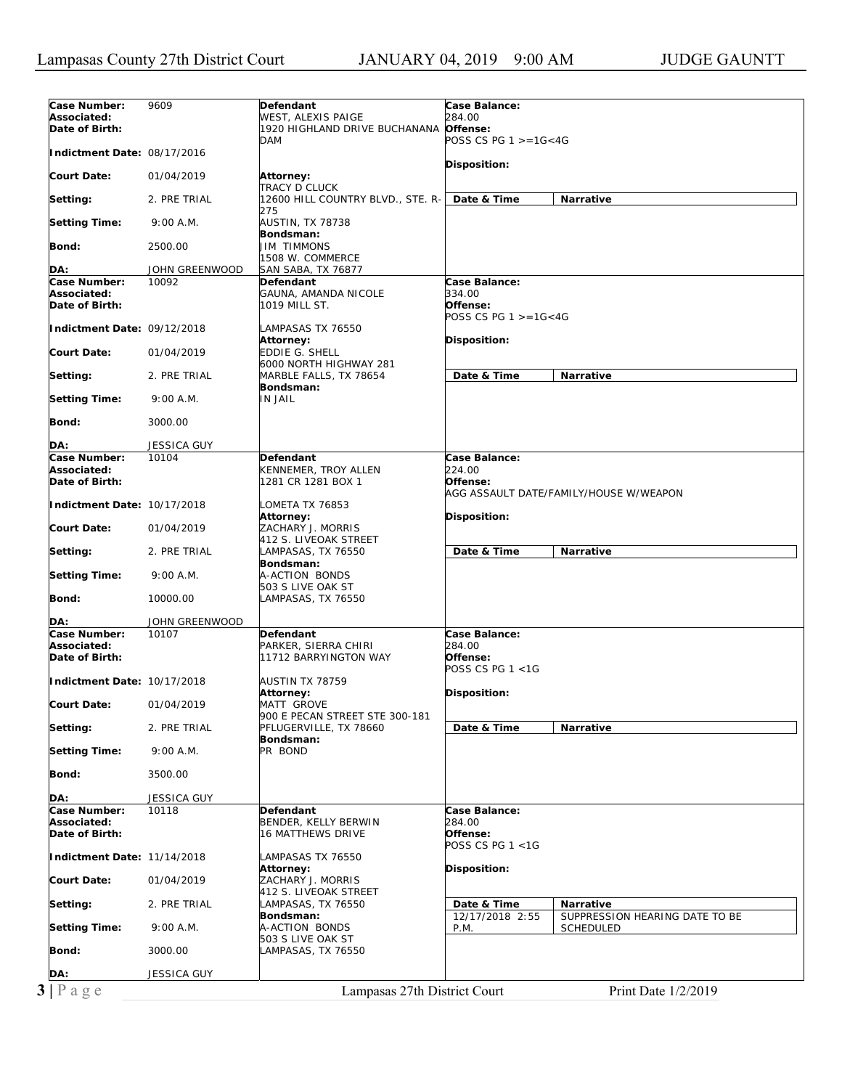| Case Number:                | 9609               | Defendant                         | Case Balance:        |                                        |  |
|-----------------------------|--------------------|-----------------------------------|----------------------|----------------------------------------|--|
| Associated:                 |                    | WEST, ALEXIS PAIGE                | 284.00               |                                        |  |
| Date of Birth:              |                    | 1920 HIGHLAND DRIVE BUCHANANA     | Offense:             |                                        |  |
|                             |                    | <b>DAM</b>                        | POSS CS PG 1 >=1G<4G |                                        |  |
| Indictment Date: 08/17/2016 |                    |                                   |                      |                                        |  |
|                             |                    |                                   | Disposition:         |                                        |  |
| <b>Court Date:</b>          |                    |                                   |                      |                                        |  |
|                             | 01/04/2019         | Attorney:                         |                      |                                        |  |
|                             |                    | <b>TRACY D CLUCK</b>              |                      |                                        |  |
| Setting:                    | 2. PRE TRIAL       | 12600 HILL COUNTRY BLVD., STE. R- | Date & Time          | <b>Narrative</b>                       |  |
|                             |                    | 275                               |                      |                                        |  |
| <b>Setting Time:</b>        | 9:00 A.M.          | AUSTIN, TX 78738                  |                      |                                        |  |
|                             |                    | Bondsman:                         |                      |                                        |  |
| Bond:                       | 2500.00            | <b>JIM TIMMONS</b>                |                      |                                        |  |
|                             |                    | 1508 W. COMMERCE                  |                      |                                        |  |
| DA:                         | JOHN GREENWOOD     | SAN SABA, TX 76877                |                      |                                        |  |
| Case Number:                | 10092              | Defendant                         | Case Balance:        |                                        |  |
| Associated:                 |                    | GAUNA, AMANDA NICOLE              | 334.00               |                                        |  |
| Date of Birth:              |                    | 1019 MILL ST.                     | Offense:             |                                        |  |
|                             |                    |                                   |                      |                                        |  |
|                             |                    |                                   | POSS CS PG 1 >=1G<4G |                                        |  |
| Indictment Date: 09/12/2018 |                    | LAMPASAS TX 76550                 |                      |                                        |  |
|                             |                    | <b>Attorney:</b>                  | <b>Disposition:</b>  |                                        |  |
| <b>Court Date:</b>          | 01/04/2019         | <b>EDDIE G. SHELL</b>             |                      |                                        |  |
|                             |                    | 6000 NORTH HIGHWAY 281            |                      |                                        |  |
| Setting:                    | 2. PRE TRIAL       | MARBLE FALLS, TX 78654            | Date & Time          | <b>Narrative</b>                       |  |
|                             |                    | Bondsman:                         |                      |                                        |  |
| <b>Setting Time:</b>        | 9:00 A.M.          | <b>IN JAIL</b>                    |                      |                                        |  |
|                             |                    |                                   |                      |                                        |  |
| Bond:                       | 3000.00            |                                   |                      |                                        |  |
|                             |                    |                                   |                      |                                        |  |
|                             |                    |                                   |                      |                                        |  |
| DA:                         | <b>JESSICA GUY</b> |                                   |                      |                                        |  |
| Case Number:                | 10104              | <b>Defendant</b>                  | Case Balance:        |                                        |  |
| Associated:                 |                    | KENNEMER, TROY ALLEN              | 224.00               |                                        |  |
| Date of Birth:              |                    | 1281 CR 1281 BOX 1                | Offense:             |                                        |  |
|                             |                    |                                   |                      | AGG ASSAULT DATE/FAMILY/HOUSE W/WEAPON |  |
| Indictment Date: 10/17/2018 |                    | LOMETA TX 76853                   |                      |                                        |  |
|                             |                    | Attorney:                         | <b>Disposition:</b>  |                                        |  |
| <b>Court Date:</b>          | 01/04/2019         | ZACHARY J. MORRIS                 |                      |                                        |  |
|                             |                    | 412 S. LIVEOAK STREET             |                      |                                        |  |
|                             | 2. PRE TRIAL       | LAMPASAS, TX 76550                | Date & Time          | Narrative                              |  |
| Setting:                    |                    |                                   |                      |                                        |  |
|                             |                    | Bondsman:                         |                      |                                        |  |
| <b>Setting Time:</b>        | 9:00 A.M.          | A-ACTION BONDS                    |                      |                                        |  |
|                             |                    | 503 S LIVE OAK ST                 |                      |                                        |  |
| Bond:                       | 10000.00           | LAMPASAS, TX 76550                |                      |                                        |  |
|                             |                    |                                   |                      |                                        |  |
| DA:                         | JOHN GREENWOOD     |                                   |                      |                                        |  |
| Case Number:                | 10107              | Defendant                         | Case Balance:        |                                        |  |
| Associated:                 |                    | PARKER, SIERRA CHIRI              | <i>284.00</i>        |                                        |  |
| Date of Birth:              |                    | 11712 BARRYINGTON WAY             | Offense:             |                                        |  |
|                             |                    |                                   | POSS CS PG 1 <1G     |                                        |  |
| Indictment Date: 10/17/2018 |                    | AUSTIN TX 78759                   |                      |                                        |  |
|                             |                    | Attorney:                         | Disposition:         |                                        |  |
|                             |                    |                                   |                      |                                        |  |
| <b>Court Date:</b>          | 01/04/2019         | MATT GROVE                        |                      |                                        |  |
|                             |                    | 900 E PECAN STREET STE 300-181    |                      |                                        |  |
| Setting:                    | 2. PRE TRIAL       | PFLUGERVILLE, TX 78660            | Date & Time          | Narrative                              |  |
|                             |                    | Bondsman:                         |                      |                                        |  |
| <b>Setting Time:</b>        | 9:00 A.M.          | PR BOND                           |                      |                                        |  |
|                             |                    |                                   |                      |                                        |  |
| Bond:                       | 3500.00            |                                   |                      |                                        |  |
|                             |                    |                                   |                      |                                        |  |
| DA:                         | <b>JESSICA GUY</b> |                                   |                      |                                        |  |
| Case Number:                | 10118              | Defendant                         | Case Balance:        |                                        |  |
| Associated:                 |                    | BENDER, KELLY BERWIN              | <i>284.00</i>        |                                        |  |
| Date of Birth:              |                    | <b>16 MATTHEWS DRIVE</b>          | Offense:             |                                        |  |
|                             |                    |                                   | POSS CS PG 1 <1G     |                                        |  |
|                             |                    |                                   |                      |                                        |  |
| Indictment Date: 11/14/2018 |                    | LAMPASAS TX 76550                 |                      |                                        |  |
|                             |                    | <b>Attorney:</b>                  | <b>Disposition:</b>  |                                        |  |
| <b>Court Date:</b>          | 01/04/2019         | ZACHARY J. MORRIS                 |                      |                                        |  |
|                             |                    | 412 S. LIVEOAK STREET             |                      |                                        |  |
| Setting:                    | 2. PRE TRIAL       | LAMPASAS, TX 76550                | Date & Time          | <b>Narrative</b>                       |  |
|                             |                    | Bondsman:                         | 12/17/2018 2:55      | SUPPRESSION HEARING DATE TO BE         |  |
| <b>Setting Time:</b>        | 9:00 A.M.          | A-ACTION BONDS                    | P.M.                 | <b>SCHEDULED</b>                       |  |
|                             |                    | 503 S LIVE OAK ST                 |                      |                                        |  |
| Bond:                       | 3000.00            | LAMPASAS, TX 76550                |                      |                                        |  |
|                             |                    |                                   |                      |                                        |  |
|                             |                    |                                   |                      |                                        |  |
|                             |                    |                                   |                      |                                        |  |
| DA:                         | <b>JESSICA GUY</b> |                                   |                      |                                        |  |
| $3 \mid P$ a g e            |                    | Lampasas 27th District Court      |                      | Print Date 1/2/2019                    |  |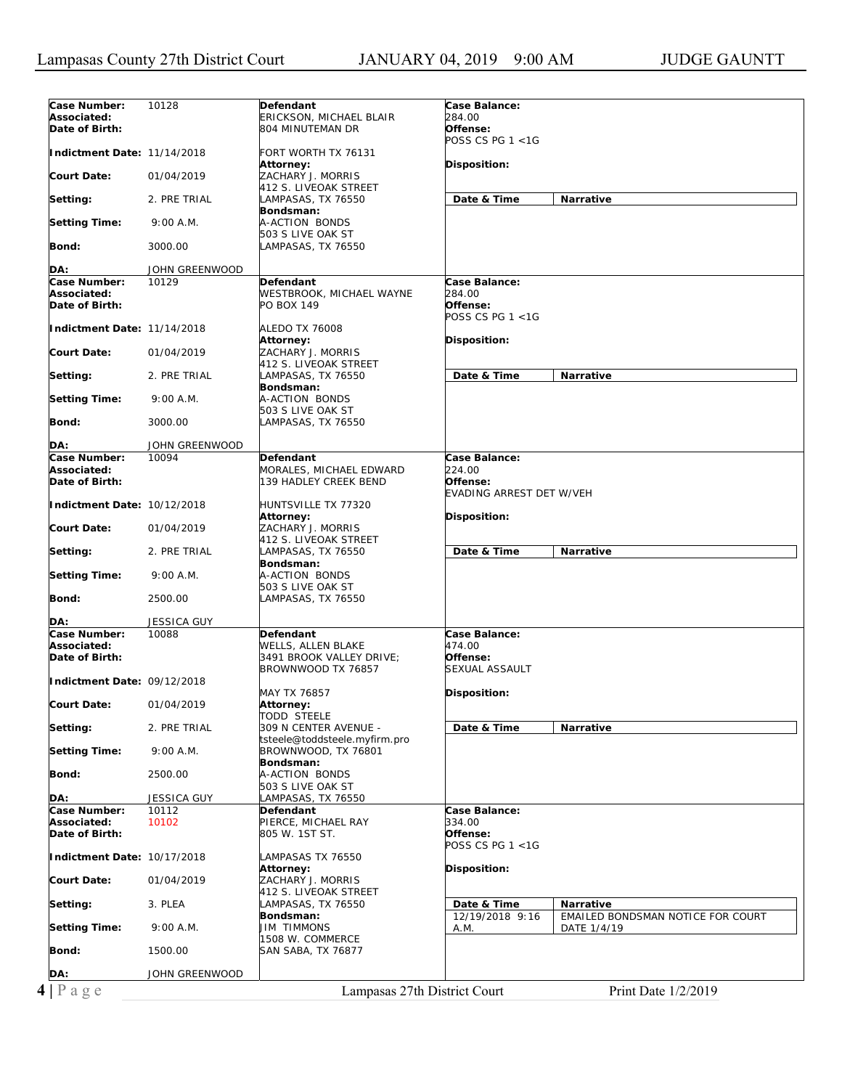| Case Number:                | 10128          | Defendant                       | <b>Case Balance:</b>                                 |
|-----------------------------|----------------|---------------------------------|------------------------------------------------------|
| Associated:                 |                | ERICKSON, MICHAEL BLAIR         | 284.00                                               |
| Date of Birth:              |                | 804 MINUTEMAN DR                | Offense:                                             |
|                             |                |                                 | POSS CS PG 1 <1G                                     |
| Indictment Date: 11/14/2018 |                | FORT WORTH TX 76131             |                                                      |
|                             |                | <b>Attorney:</b>                | Disposition:                                         |
| <b>Court Date:</b>          | 01/04/2019     | ZACHARY J. MORRIS               |                                                      |
|                             |                | 412 S. LIVEOAK STREET           |                                                      |
| Setting:                    | 2. PRE TRIAL   | LAMPASAS, TX 76550              | Date & Time<br>Narrative                             |
|                             |                | Bondsman:                       |                                                      |
| <b>Setting Time:</b>        | 9:00 A.M.      | A-ACTION BONDS                  |                                                      |
|                             |                | 503 S LIVE OAK ST               |                                                      |
| Bond:                       | 3000.00        | LAMPASAS, TX 76550              |                                                      |
|                             |                |                                 |                                                      |
| DA:                         | JOHN GREENWOOD |                                 |                                                      |
| Case Number:                | 10129          | Defendant                       | Case Balance:                                        |
| Associated:                 |                | <b>WESTBROOK, MICHAEL WAYNE</b> | 284.00                                               |
| Date of Birth:              |                | PO BOX 149                      | Offense:                                             |
|                             |                |                                 | POSS CS PG 1 <1G                                     |
| Indictment Date: 11/14/2018 |                | <b>ALEDO TX 76008</b>           |                                                      |
|                             |                |                                 |                                                      |
| <b>Court Date:</b>          | 01/04/2019     | Attorney:<br>ZACHARY J. MORRIS  | Disposition:                                         |
|                             |                |                                 |                                                      |
|                             |                | 412 S. LIVEOAK STREET           |                                                      |
| Setting:                    | 2. PRE TRIAL   | LAMPASAS, TX 76550              | Date & Time<br>Narrative                             |
|                             |                | Bondsman:                       |                                                      |
| <b>Setting Time:</b>        | 9:00 A.M.      | A-ACTION BONDS                  |                                                      |
|                             |                | 503 S LIVE OAK ST               |                                                      |
| Bond:                       | 3000.00        | LAMPASAS, TX 76550              |                                                      |
|                             |                |                                 |                                                      |
| DA:                         | JOHN GREENWOOD |                                 |                                                      |
| Case Number:                | 10094          | Defendant                       | Case Balance:                                        |
| Associated:                 |                | MORALES, MICHAEL EDWARD         | 224.00                                               |
| Date of Birth:              |                | 139 HADLEY CREEK BEND           | Offense:                                             |
|                             |                |                                 | EVADING ARREST DET W/VEH                             |
| Indictment Date: 10/12/2018 |                | HUNTSVILLE TX 77320             |                                                      |
|                             |                | <b>Attorney:</b>                | Disposition:                                         |
| <b>Court Date:</b>          | 01/04/2019     | ZACHARY J. MORRIS               |                                                      |
|                             |                | 412 S. LIVEOAK STREET           |                                                      |
| Setting:                    | 2. PRE TRIAL   | LAMPASAS, TX 76550              | Date & Time<br>Narrative                             |
|                             |                | Bondsman:                       |                                                      |
| <b>Setting Time:</b>        | 9:00 A.M.      | A-ACTION BONDS                  |                                                      |
|                             |                | 503 S LIVE OAK ST               |                                                      |
| Bond:                       | 2500.00        | LAMPASAS, TX 76550              |                                                      |
|                             |                |                                 |                                                      |
| DA:                         | JESSICA GUY    |                                 |                                                      |
| Case Number:                | 10088          | Defendant                       | Case Balance:                                        |
| Associated:                 |                | <b>WELLS, ALLEN BLAKE</b>       | 474.00                                               |
| Date of Birth:              |                | 3491 BROOK VALLEY DRIVE;        | Offense:                                             |
|                             |                | BROWNWOOD TX 76857              | <b>SEXUAL ASSAULT</b>                                |
| Indictment Date: 09/12/2018 |                |                                 |                                                      |
|                             |                | MAY TX 76857                    | Disposition:                                         |
| <b>Court Date:</b>          | 01/04/2019     | Attorney:                       |                                                      |
|                             |                | <b>TODD STEELE</b>              |                                                      |
| Setting:                    | 2. PRE TRIAL   | 309 N CENTER AVENUE -           | Date & Time<br>Narrative                             |
|                             |                | tsteele@toddsteele.myfirm.pro   |                                                      |
| <b>Setting Time:</b>        | 9:00 A.M.      | BROWNWOOD, TX 76801             |                                                      |
|                             |                | Bondsman:                       |                                                      |
| Bond:                       | 2500.00        | A-ACTION BONDS                  |                                                      |
|                             |                | 503 S LIVE OAK ST               |                                                      |
| DA:                         | JESSICA GUY    | LAMPASAS, TX 76550              |                                                      |
| Case Number:                | 10112          | Defendant                       | Case Balance:                                        |
| Associated:                 | 10102          | PIERCE, MICHAEL RAY             | 334.00                                               |
| Date of Birth:              |                | 805 W. 1ST ST.                  | Offense:                                             |
|                             |                |                                 | POSS CS PG 1 <1G                                     |
| Indictment Date: 10/17/2018 |                | LAMPASAS TX 76550               |                                                      |
|                             |                | Attorney:                       | <b>Disposition:</b>                                  |
| <b>Court Date:</b>          | 01/04/2019     | ZACHARY J. MORRIS               |                                                      |
|                             |                | 412 S. LIVEOAK STREET           |                                                      |
| Setting:                    | 3. PLEA        | LAMPASAS, TX 76550              | Date & Time<br>Narrative                             |
|                             |                | Bondsman:                       | 12/19/2018 9:16<br>EMAILED BONDSMAN NOTICE FOR COURT |
|                             | 9:00 A.M.      | <b>JIM TIMMONS</b>              | DATE 1/4/19<br>A.M.                                  |
|                             |                | 1508 W. COMMERCE                |                                                      |
| <b>Setting Time:</b>        |                |                                 |                                                      |
|                             |                |                                 |                                                      |
| Bond:                       | 1500.00        | SAN SABA, TX 76877              |                                                      |
|                             |                |                                 |                                                      |
| DA:<br>$4 P \text{ age}$    | JOHN GREENWOOD | Lampasas 27th District Court    | Print Date 1/2/2019                                  |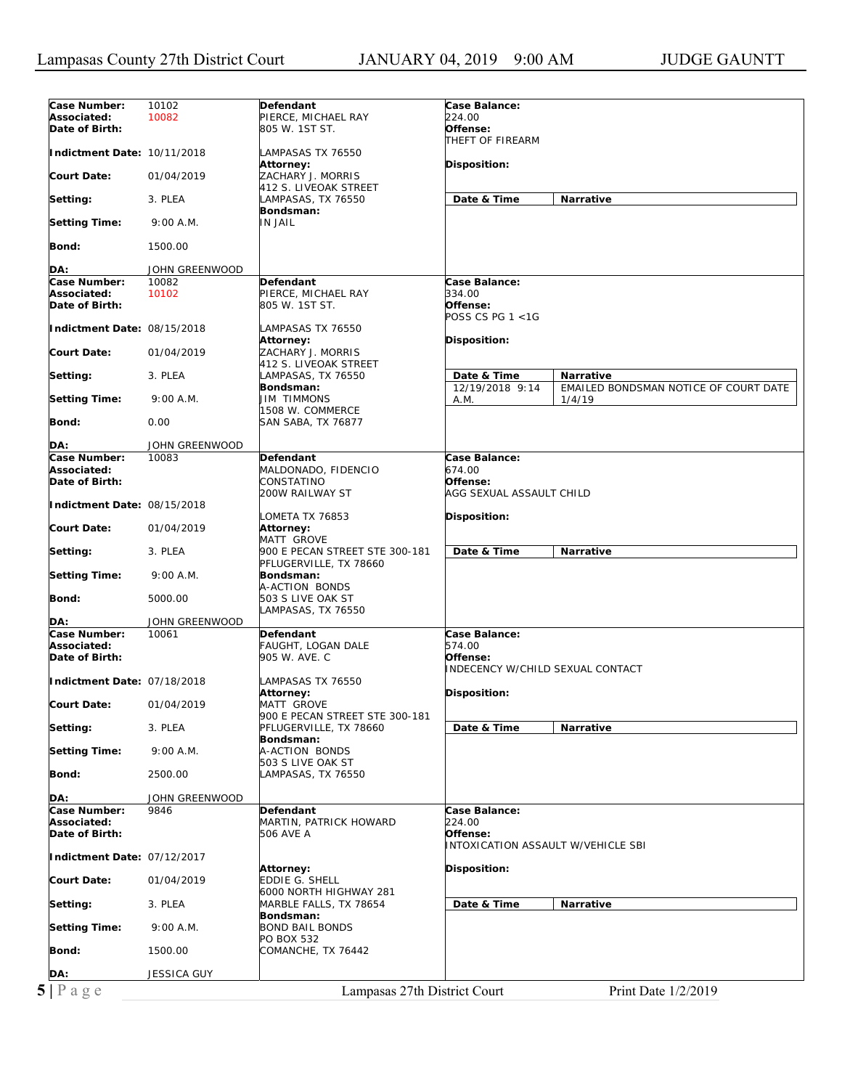| Case Number:                   | 10102          | Defendant                      | Case Balance:                             |                                       |  |
|--------------------------------|----------------|--------------------------------|-------------------------------------------|---------------------------------------|--|
| Associated:                    | 10082          | PIERCE, MICHAEL RAY            | 224.00                                    |                                       |  |
| Date of Birth:                 |                | 805 W. 1ST ST.                 | Offense:                                  |                                       |  |
|                                |                |                                | THEFT OF FIREARM                          |                                       |  |
| Indictment Date: 10/11/2018    |                | LAMPASAS TX 76550              |                                           |                                       |  |
|                                |                | <b>Attorney:</b>               | Disposition:                              |                                       |  |
| <b>Court Date:</b>             | 01/04/2019     | ZACHARY J. MORRIS              |                                           |                                       |  |
|                                |                | 412 S. LIVEOAK STREET          |                                           |                                       |  |
| Setting:                       | 3. PLEA        | LAMPASAS, TX 76550             | Date & Time                               | Narrative                             |  |
|                                |                | Bondsman:                      |                                           |                                       |  |
| <b>Setting Time:</b>           | 9:00 A.M.      | <b>IN JAIL</b>                 |                                           |                                       |  |
|                                |                |                                |                                           |                                       |  |
| Bond:                          | 1500.00        |                                |                                           |                                       |  |
|                                |                |                                |                                           |                                       |  |
| DA:                            | JOHN GREENWOOD |                                |                                           |                                       |  |
| Case Number:                   | 10082          | Defendant                      | Case Balance:                             |                                       |  |
| Associated:                    | 10102          | PIERCE, MICHAEL RAY            | 334.00                                    |                                       |  |
| Date of Birth:                 |                | 805 W. 1ST ST.                 | Offense:                                  |                                       |  |
|                                |                |                                | POSS CS PG $1 < 1G$                       |                                       |  |
| Indictment Date: 08/15/2018    |                | LAMPASAS TX 76550              |                                           |                                       |  |
|                                |                | <b>Attorney:</b>               | Disposition:                              |                                       |  |
| <b>Court Date:</b>             | 01/04/2019     | ZACHARY J. MORRIS              |                                           |                                       |  |
|                                |                | 412 S. LIVEOAK STREET          |                                           |                                       |  |
|                                |                |                                | Date & Time                               | <b>Narrative</b>                      |  |
| Setting:                       | 3. PLEA        | LAMPASAS, TX 76550             |                                           |                                       |  |
|                                |                | Bondsman:                      | 12/19/2018 9:14                           | EMAILED BONDSMAN NOTICE OF COURT DATE |  |
| <b>Setting Time:</b>           | 9:00 A.M.      | <b>JIM TIMMONS</b>             | A.M.                                      | 1/4/19                                |  |
|                                |                | 1508 W. COMMERCE               |                                           |                                       |  |
| Bond:                          | 0.00           | SAN SABA, TX 76877             |                                           |                                       |  |
|                                |                |                                |                                           |                                       |  |
| DA:                            | JOHN GREENWOOD |                                |                                           |                                       |  |
| Case Number:                   | 10083          | Defendant                      | Case Balance:                             |                                       |  |
| Associated:                    |                | MALDONADO, FIDENCIO            | 674.00                                    |                                       |  |
| Date of Birth:                 |                | CONSTATINO                     | Offense:                                  |                                       |  |
|                                |                | 200W RAILWAY ST                | AGG SEXUAL ASSAULT CHILD                  |                                       |  |
| Indictment Date: 08/15/2018    |                |                                |                                           |                                       |  |
|                                |                | LOMETA TX 76853                | Disposition:                              |                                       |  |
| <b>Court Date:</b>             | 01/04/2019     | Attorney:                      |                                           |                                       |  |
|                                |                | <b>MATT GROVE</b>              |                                           |                                       |  |
| Setting:                       | 3. PLEA        | 900 E PECAN STREET STE 300-181 | Date & Time                               | Narrative                             |  |
|                                |                | PFLUGERVILLE, TX 78660         |                                           |                                       |  |
| <b>Setting Time:</b>           | 9:00 A.M.      | Bondsman:                      |                                           |                                       |  |
|                                |                | A-ACTION BONDS                 |                                           |                                       |  |
| Bond:                          | 5000.00        | 503 S LIVE OAK ST              |                                           |                                       |  |
|                                |                | LAMPASAS, TX 76550             |                                           |                                       |  |
| DA:                            | JOHN GREENWOOD |                                |                                           |                                       |  |
| Case Number:                   | 10061          | Defendant                      | Case Balance:                             |                                       |  |
| Associated:                    |                | FAUGHT, LOGAN DALE             | 574.00                                    |                                       |  |
| Date of Birth:                 |                | 905 W. AVE. C                  | Offense:                                  |                                       |  |
|                                |                |                                | <b>INDECENCY W/CHILD SEXUAL CONTACT</b>   |                                       |  |
| Indictment Date: 07/18/2018    |                | LAMPASAS TX 76550              |                                           |                                       |  |
|                                |                | Attorney:                      | Disposition:                              |                                       |  |
| <b>Court Date:</b>             | 01/04/2019     | MATT GROVE                     |                                           |                                       |  |
|                                |                | 900 E PECAN STREET STE 300-181 |                                           |                                       |  |
| Setting:                       | 3. PLEA        | PFLUGERVILLE, TX 78660         | Date & Time                               | Narrative                             |  |
|                                |                | Bondsman:                      |                                           |                                       |  |
| <b>Setting Time:</b>           | 9:00 A.M.      | A-ACTION BONDS                 |                                           |                                       |  |
|                                |                | 503 S LIVE OAK ST              |                                           |                                       |  |
| Bond:                          | 2500.00        | LAMPASAS, TX 76550             |                                           |                                       |  |
|                                |                |                                |                                           |                                       |  |
| DA:                            | JOHN GREENWOOD |                                |                                           |                                       |  |
| <b>Case Number:</b>            | 9846           | Defendant                      | Case Balance:                             |                                       |  |
| Associated:                    |                | MARTIN, PATRICK HOWARD         | 224.00                                    |                                       |  |
| Date of Birth:                 |                | 506 AVE A                      | Offense:                                  |                                       |  |
|                                |                |                                | <b>INTOXICATION ASSAULT W/VEHICLE SBI</b> |                                       |  |
|                                |                |                                |                                           |                                       |  |
| Indictment Date: 07/12/2017    |                |                                | Disposition:                              |                                       |  |
|                                |                |                                |                                           |                                       |  |
|                                |                | <b>Attorney:</b>               |                                           |                                       |  |
|                                | 01/04/2019     | EDDIE G. SHELL                 |                                           |                                       |  |
|                                |                | 6000 NORTH HIGHWAY 281         |                                           |                                       |  |
|                                | 3. PLEA        | MARBLE FALLS, TX 78654         | Date & Time                               | Narrative                             |  |
| <b>Court Date:</b><br>Setting: |                | Bondsman:                      |                                           |                                       |  |
| <b>Setting Time:</b>           | 9:00 A.M.      | <b>BOND BAIL BONDS</b>         |                                           |                                       |  |
|                                |                | PO BOX 532                     |                                           |                                       |  |
| Bond:                          | 1500.00        | COMANCHE, TX 76442             |                                           |                                       |  |
|                                |                |                                |                                           |                                       |  |
| DA:<br>5 Page                  | JESSICA GUY    | Lampasas 27th District Court   |                                           | Print Date 1/2/2019                   |  |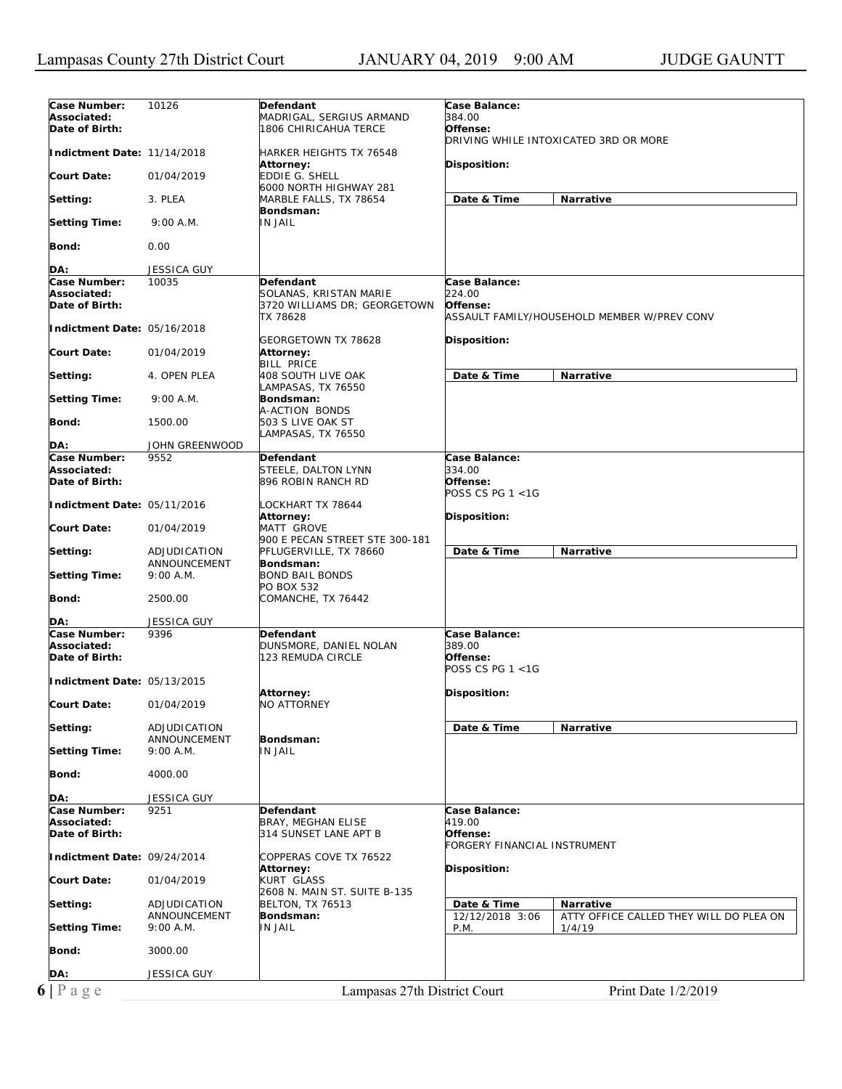| Case Number:                | 10126          | Defendant                      | <b>Case Balance:</b>                                       |
|-----------------------------|----------------|--------------------------------|------------------------------------------------------------|
| Associated:                 |                | MADRIGAL, SERGIUS ARMAND       | 384.00                                                     |
| Date of Birth:              |                | 1806 CHIRICAHUA TERCE          | Offense:                                                   |
|                             |                |                                | DRIVING WHILE INTOXICATED 3RD OR MORE                      |
| Indictment Date: 11/14/2018 |                | HARKER HEIGHTS TX 76548        |                                                            |
|                             |                | Attorney:                      | Disposition:                                               |
| <b>Court Date:</b>          | 01/04/2019     | <b>EDDIE G. SHELL</b>          |                                                            |
|                             |                | 6000 NORTH HIGHWAY 281         |                                                            |
|                             |                |                                |                                                            |
| Setting:                    | 3. PLEA        | MARBLE FALLS, TX 78654         | Date & Time<br>Narrative                                   |
|                             |                | Bondsman:                      |                                                            |
| <b>Setting Time:</b>        | 9:00 A.M.      | IN JAIL                        |                                                            |
|                             |                |                                |                                                            |
| Bond:                       | 0.00           |                                |                                                            |
|                             |                |                                |                                                            |
| DA:                         | JESSICA GUY    |                                |                                                            |
| Case Number:                | 10035          | Defendant                      | Case Balance:                                              |
| Associated:                 |                | SOLANAS, KRISTAN MARIE         | 224.00                                                     |
| Date of Birth:              |                | 3720 WILLIAMS DR; GEORGETOWN   | Offense:                                                   |
|                             |                | TX 78628                       | ASSAULT FAMILY/HOUSEHOLD MEMBER W/PREV CONV                |
| Indictment Date: 05/16/2018 |                |                                |                                                            |
|                             |                |                                |                                                            |
|                             |                | GEORGETOWN TX 78628            | Disposition:                                               |
| <b>Court Date:</b>          | 01/04/2019     | Attorney:                      |                                                            |
|                             |                | <b>BILL PRICE</b>              |                                                            |
| Setting:                    | 4. OPEN PLEA   | 408 SOUTH LIVE OAK             | Date & Time<br>Narrative                                   |
|                             |                | LAMPASAS, TX 76550             |                                                            |
| <b>Setting Time:</b>        | 9:00 A.M.      | Bondsman:                      |                                                            |
|                             |                | A-ACTION BONDS                 |                                                            |
| Bond:                       | 1500.00        | 503 S LIVE OAK ST              |                                                            |
|                             |                | LAMPASAS, TX 76550             |                                                            |
| DA:                         | JOHN GREENWOOD |                                |                                                            |
| Case Number:                | 9552           | Defendant                      | Case Balance:                                              |
| Associated:                 |                |                                | 334.00                                                     |
|                             |                | STEELE, DALTON LYNN            |                                                            |
| Date of Birth:              |                | 896 ROBIN RANCH RD             | Offense:                                                   |
|                             |                |                                | POSS CS PG $1 < 1G$                                        |
| Indictment Date: 05/11/2016 |                | LOCKHART TX 78644              |                                                            |
|                             |                | Attorney:                      | Disposition:                                               |
| <b>Court Date:</b>          | 01/04/2019     | MATT GROVE                     |                                                            |
|                             |                | 900 E PECAN STREET STE 300-181 |                                                            |
| Setting:                    | ADJUDICATION   | PFLUGERVILLE, TX 78660         | Date & Time<br>Narrative                                   |
|                             | ANNOUNCEMENT   | Bondsman:                      |                                                            |
| <b>Setting Time:</b>        | 9:00 A.M.      | <b>BOND BAIL BONDS</b>         |                                                            |
|                             |                | PO BOX 532                     |                                                            |
| Bond:                       |                |                                |                                                            |
|                             | 2500.00        | COMANCHE, TX 76442             |                                                            |
|                             |                |                                |                                                            |
| DA:                         | JESSICA GUY    |                                |                                                            |
| Case Number:                | 9396           | Defendant                      | Case Balance:                                              |
| Associated:                 |                | DUNSMORE, DANIEL NOLAN         | 389.00                                                     |
| Date of Birth:              |                | 123 REMUDA CIRCLE              | Offense:                                                   |
|                             |                |                                | POSS CS PG $1 < 1G$                                        |
| Indictment Date: 05/13/2015 |                |                                |                                                            |
|                             |                | Attorney:                      | Disposition:                                               |
| <b>Court Date:</b>          | 01/04/2019     | <b>NO ATTORNEY</b>             |                                                            |
|                             |                |                                |                                                            |
| Setting:                    | ADJUDICATION   |                                | Date & Time<br>Narrative                                   |
|                             | ANNOUNCEMENT   | Bondsman:                      |                                                            |
|                             |                |                                |                                                            |
| <b>Setting Time:</b>        | 9:00 A.M.      | <b>IN JAIL</b>                 |                                                            |
|                             |                |                                |                                                            |
| Bond:                       | 4000.00        |                                |                                                            |
|                             |                |                                |                                                            |
| DA:                         | JESSICA GUY    |                                |                                                            |
| Case Number:                | 9251           | Defendant                      | Case Balance:                                              |
| Associated:                 |                | <b>BRAY, MEGHAN ELISE</b>      | 419.00                                                     |
| Date of Birth:              |                | 314 SUNSET LANE APT B          | Offense:                                                   |
|                             |                |                                | FORGERY FINANCIAL INSTRUMENT                               |
| Indictment Date: 09/24/2014 |                | COPPERAS COVE TX 76522         |                                                            |
|                             |                | Attorney:                      | Disposition:                                               |
| <b>Court Date:</b>          | 01/04/2019     | <b>KURT GLASS</b>              |                                                            |
|                             |                | 2608 N. MAIN ST. SUITE B-135   |                                                            |
|                             |                |                                |                                                            |
| Setting:                    | ADJUDICATION   | <b>BELTON, TX 76513</b>        | Date & Time<br>Narrative                                   |
|                             | ANNOUNCEMENT   | Bondsman:                      | 12/12/2018 3:06<br>ATTY OFFICE CALLED THEY WILL DO PLEA ON |
| Setting Time:               | 9:00 A.M.      | <b>IN JAIL</b>                 | P.M.<br>1/4/19                                             |
|                             |                |                                |                                                            |
| Bond:                       | 3000.00        |                                |                                                            |
|                             |                |                                |                                                            |
| DA:                         | JESSICA GUY    |                                |                                                            |
|                             |                |                                |                                                            |
| $6 P \text{ age}$           |                | Lampasas 27th District Court   | Print Date 1/2/2019                                        |
|                             |                |                                |                                                            |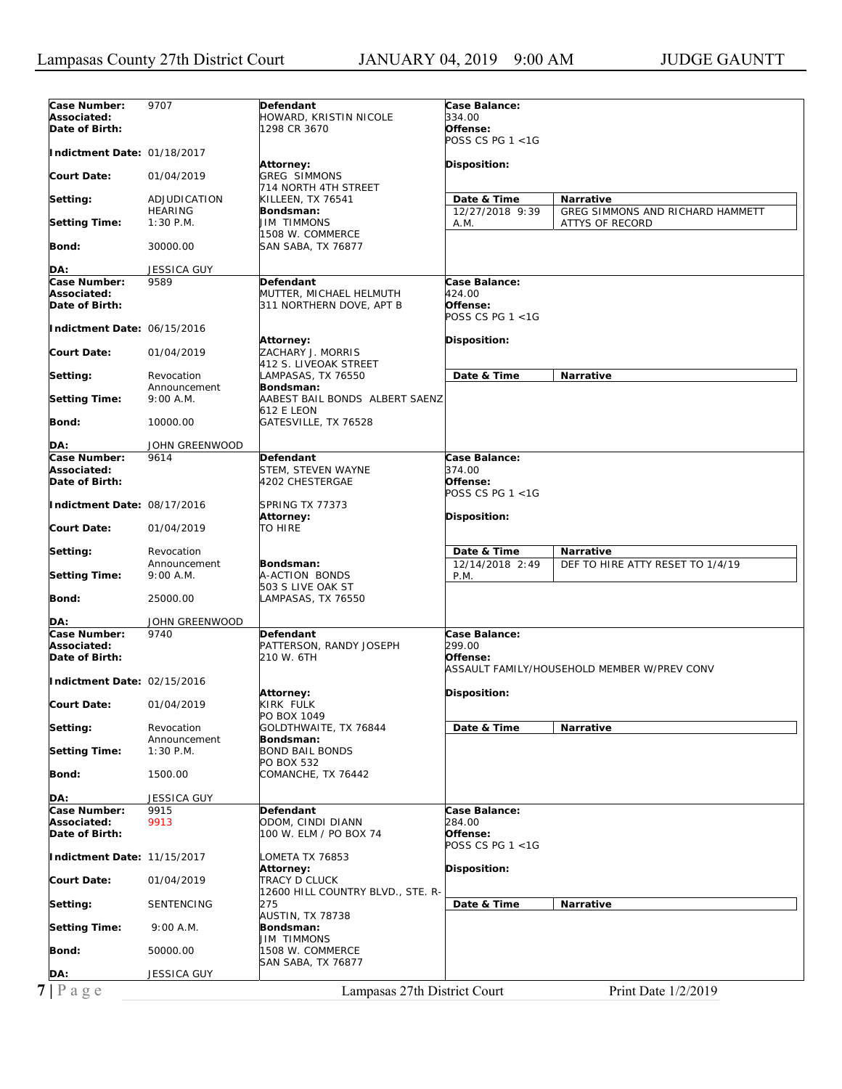| Case Number:                                  | 9707                           | Defendant                                   | Case Balance:           |                                             |
|-----------------------------------------------|--------------------------------|---------------------------------------------|-------------------------|---------------------------------------------|
| Associated:                                   |                                | HOWARD, KRISTIN NICOLE                      | 334.00                  |                                             |
| Date of Birth:                                |                                | 1298 CR 3670                                | Offense:                |                                             |
|                                               |                                |                                             | POSS CS PG 1 <1G        |                                             |
| Indictment Date: 01/18/2017                   |                                |                                             |                         |                                             |
|                                               |                                | Attorney:                                   | Disposition:            |                                             |
| Court Date:                                   | 01/04/2019                     | <b>GREG SIMMONS</b>                         |                         |                                             |
|                                               |                                | 714 NORTH 4TH STREET                        |                         |                                             |
| Setting:                                      | ADJUDICATION<br><b>HEARING</b> | KILLEEN, TX 76541                           | Date & Time             | Narrative                                   |
| Setting Time:                                 | $1:30$ P.M.                    | Bondsman:<br><b>JIM TIMMONS</b>             | 12/27/2018 9:39         | GREG SIMMONS AND RICHARD HAMMETT            |
|                                               |                                | 1508 W. COMMERCE                            | A.M.                    | ATTYS OF RECORD                             |
| Bond:                                         | 30000.00                       | SAN SABA, TX 76877                          |                         |                                             |
|                                               |                                |                                             |                         |                                             |
| DA:                                           | JESSICA GUY                    |                                             |                         |                                             |
| Case Number:                                  | 9589                           | <b>Defendant</b>                            | Case Balance:           |                                             |
| Associated:                                   |                                | MUTTER, MICHAEL HELMUTH                     | 424.00                  |                                             |
| Date of Birth:                                |                                | 311 NORTHERN DOVE, APT B                    | Offense:                |                                             |
|                                               |                                |                                             | POSS CS PG 1 <1G        |                                             |
| Indictment Date: 06/15/2016                   |                                |                                             |                         |                                             |
|                                               |                                | Attorney:                                   | <b>Disposition:</b>     |                                             |
| Court Date:                                   | 01/04/2019                     | ZACHARY J. MORRIS                           |                         |                                             |
|                                               |                                | 412 S. LIVEOAK STREET                       |                         |                                             |
| Setting:                                      | Revocation                     | LAMPASAS, TX 76550                          | Date & Time             | <b>Narrative</b>                            |
|                                               | Announcement<br>9:00 A.M.      | Bondsman:<br>AABEST BAIL BONDS ALBERT SAENZ |                         |                                             |
| <b>Setting Time:</b>                          |                                | 612 E LEON                                  |                         |                                             |
| <b>Bond:</b>                                  | 10000.00                       | GATESVILLE, TX 76528                        |                         |                                             |
|                                               |                                |                                             |                         |                                             |
| DA:                                           | JOHN GREENWOOD                 |                                             |                         |                                             |
| Case Number:                                  | 9614                           | Defendant                                   | Case Balance:           |                                             |
| Associated:                                   |                                | STEM, STEVEN WAYNE                          | 374.00                  |                                             |
| Date of Birth:                                |                                | 4202 CHESTERGAE                             | Offense:                |                                             |
|                                               |                                |                                             | POSS CS PG 1 <1G        |                                             |
| Indictment Date: 08/17/2016                   |                                | SPRING TX 77373                             |                         |                                             |
|                                               |                                | Attorney:                                   | <b>Disposition:</b>     |                                             |
| Court Date:                                   | 01/04/2019                     | TO HIRE                                     |                         |                                             |
|                                               |                                |                                             |                         |                                             |
| Setting:                                      | Revocation                     |                                             | Date & Time             | Narrative                                   |
| <b>Setting Time:</b>                          | Announcement<br>9:00 A.M.      | Bondsman:<br>A-ACTION BONDS                 | 12/14/2018 2:49<br>P.M. | DEF TO HIRE ATTY RESET TO 1/4/19            |
|                                               |                                | 503 S LIVE OAK ST                           |                         |                                             |
| Bond:                                         | 25000.00                       | LAMPASAS, TX 76550                          |                         |                                             |
|                                               |                                |                                             |                         |                                             |
| DA:                                           | JOHN GREENWOOD                 |                                             |                         |                                             |
| Case Number:                                  | 9740                           | Defendant                                   | Case Balance:           |                                             |
| Associated:                                   |                                | PATTERSON, RANDY JOSEPH                     | 299.00                  |                                             |
| Date of Birth:                                |                                | 210 W. 6TH                                  | Offense:                |                                             |
|                                               |                                |                                             |                         | ASSAULT FAMILY/HOUSEHOLD MEMBER W/PREV CONV |
| Indictment Date: 02/15/2016                   |                                |                                             |                         |                                             |
|                                               |                                | <b>Attorney:</b>                            | Disposition:            |                                             |
| <b>Court Date:</b>                            | 01/04/2019                     | KIRK FULK                                   |                         |                                             |
|                                               |                                | PO BOX 1049                                 |                         |                                             |
| Setting:                                      | Revocation<br>Announcement     | GOLDTHWAITE, TX 76844<br>Bondsman:          | Date & Time             | Narrative                                   |
| Setting Time:                                 | $1:30$ P.M.                    |                                             |                         |                                             |
|                                               |                                |                                             |                         |                                             |
|                                               |                                | <b>BOND BAIL BONDS</b>                      |                         |                                             |
|                                               |                                | PO BOX 532                                  |                         |                                             |
| Bond:                                         | 1500.00                        | COMANCHE, TX 76442                          |                         |                                             |
|                                               |                                |                                             |                         |                                             |
| DA:<br>Case Number:                           | JESSICA GUY<br>9915            | Defendant                                   | Case Balance:           |                                             |
| Associated:                                   | 9913                           | ODOM, CINDI DIANN                           | 284.00                  |                                             |
|                                               |                                | 100 W. ELM / PO BOX 74                      | Offense:                |                                             |
|                                               |                                |                                             | POSS CS PG 1 <1G        |                                             |
|                                               |                                | LOMETA TX 76853                             |                         |                                             |
| Date of Birth:<br>Indictment Date: 11/15/2017 |                                | Attorney:                                   | Disposition:            |                                             |
|                                               | 01/04/2019                     | TRACY D CLUCK                               |                         |                                             |
|                                               |                                | 12600 HILL COUNTRY BLVD., STE. R-           |                         |                                             |
|                                               | SENTENCING                     | 275                                         | Date & Time             | Narrative                                   |
| <b>Court Date:</b><br>Setting:                |                                | AUSTIN, TX 78738                            |                         |                                             |
| <b>Setting Time:</b>                          | 9:00 A.M.                      | Bondsman:                                   |                         |                                             |
|                                               |                                | <b>JIM TIMMONS</b>                          |                         |                                             |
| Bond:                                         | 50000.00                       | 1508 W. COMMERCE                            |                         |                                             |
|                                               |                                | SAN SABA, TX 76877                          |                         |                                             |
| DA:<br>$7 P \text{ age}$                      | <b>JESSICA GUY</b>             | Lampasas 27th District Court                |                         | Print Date 1/2/2019                         |